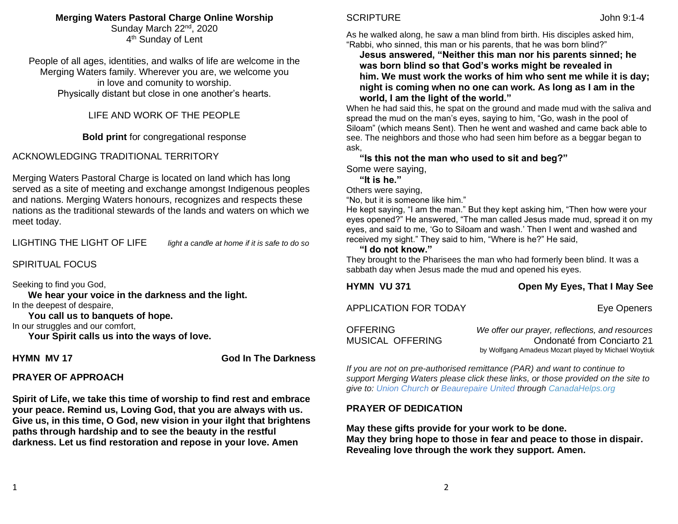#### **Merging Waters Pastoral Charge Online Worship**

Sunday March 22<sup>nd</sup>, 2020 4<sup>th</sup> Sunday of Lent

People of all ages, identities, and walks of life are welcome in the Merging Waters family. Wherever you are, we welcome you in love and comunity to worship. Physically distant but close in one another's hearts.

#### LIFE AND WORK OF THE PEOPLE

**Bold print** for congregational response

### ACKNOWLEDGING TRADITIONAL TERRITORY

Merging Waters Pastoral Charge is located on land which has long served as a site of meeting and exchange amongst Indigenous peoples and nations. Merging Waters honours, recognizes and respects these nations as the traditional stewards of the lands and waters on which we meet today.

LIGHTING THE LIGHT OF LIFE *light a candle at home if it is safe to do so*

## SPIRITUAL FOCUS

Seeking to find you God,

**We hear your voice in the darkness and the light.**

In the deepest of despaire,  **You call us to banquets of hope.**

In our struggles and our comfort,

 **Your Spirit calls us into the ways of love.**

**HYMN MV 17 God In The Darkness** 

### **PRAYER OF APPROACH**

**Spirit of Life, we take this time of worship to find rest and embrace your peace. Remind us, Loving God, that you are always with us. Give us, in this time, O God, new vision in your ilght that brightens paths through hardship and to see the beauty in the restful darkness. Let us find restoration and repose in your love. Amen**

As he walked along, he saw a man blind from birth. His disciples asked him, "Rabbi, who sinned, this man or his parents, that he was born blind?"

#### **Jesus answered, "Neither this man nor his parents sinned; he was born blind so that God's works might be revealed in him. We must work the works of him who sent me while it is day; night is coming when no one can work. As long as I am in the world, I am the light of the world."**

When he had said this, he spat on the ground and made mud with the saliva and spread the mud on the man's eyes, saying to him, "Go, wash in the pool of Siloam" (which means Sent). Then he went and washed and came back able to see. The neighbors and those who had seen him before as a beggar began to ask,

#### **"Is this not the man who used to sit and beg?"**

Some were saying,

#### **"It is he."**

Others were saying,

"No, but it is someone like him."

He kept saying, "I am the man." But they kept asking him, "Then how were your eyes opened?" He answered, "The man called Jesus made mud, spread it on my eyes, and said to me, 'Go to Siloam and wash.' Then I went and washed and received my sight." They said to him, "Where is he?" He said,

#### **"I do not know."**

They brought to the Pharisees the man who had formerly been blind. It was a sabbath day when Jesus made the mud and opened his eyes.

#### **HYMN VU 371 Open My Eyes, That I May See**

APPLICATION FOR TODAY Eye Openers

| <b>OFFERING</b>  | We offer our prayer, reflections, and resources      |
|------------------|------------------------------------------------------|
| MUSICAL OFFERING | Ondonaté from Conciarto 21                           |
|                  | by Wolfgang Amadeus Mozart played by Michael Woytiuk |

*If you are not on pre-authorised remittance (PAR) and want to continue to support Merging Waters please click these links, or those provided on the site to give to: [Union Church](https://www.canadahelps.org/en/charities/union-church-ste-anne-de-bellevue/) or [Beaurepaire United](https://www.canadahelps.org/en/charities/beaurepaire-united-church/) through [CanadaHelps.org](http://www.canadahelps.org/)* 

### **PRAYER OF DEDICATION**

**May these gifts provide for your work to be done. May they bring hope to those in fear and peace to those in dispair. Revealing love through the work they support. Amen.**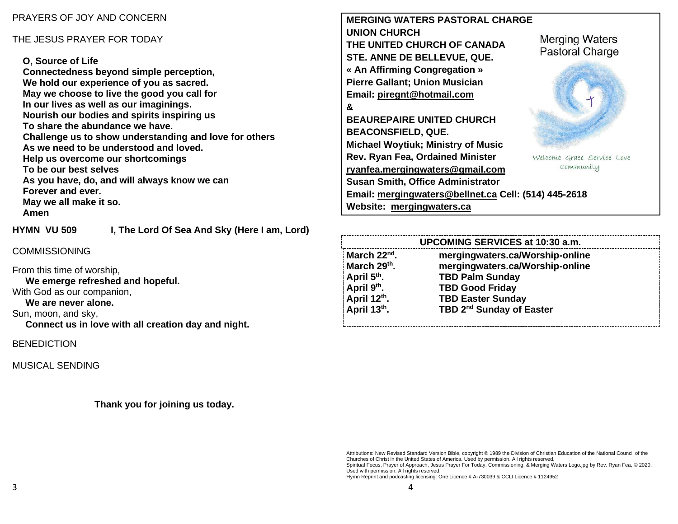#### PRAYERS OF JOY AND CONCERN

#### THE JESUS PRAYER FOR TODAY

 **O, Source of Life** 

**Connectedness beyond simple perception, We hold our experience of you as sacred. May we choose to live the good you call for In our lives as well as our imaginings. Nourish our bodies and spirits inspiring us To share the abundance we have. Challenge us to show understanding and love for others As we need to be understood and loved. Help us overcome our shortcomings To be our best selves As you have, do, and will always know we can Forever and ever. May we all make it so. Amen**

**HYMN VU 509 I, The Lord Of Sea And Sky (Here I am, Lord)**

#### **COMMISSIONING**

From this time of worship, **We emerge refreshed and hopeful.** With God as our companion, **We are never alone.** Sun, moon, and sky, **Connect us in love with all creation day and night.**

**BENEDICTION** 

#### MUSICAL SENDING

**Thank you for joining us today.**



|                          | UPCOMING SERVICES at 10:30 a.m.      |
|--------------------------|--------------------------------------|
| March 22 <sup>nd</sup> . | mergingwaters.ca/Worship-online      |
| March 29th.              | mergingwaters.ca/Worship-online      |
| April 5 <sup>th</sup> .  | <b>TBD Palm Sunday</b>               |
| April 9th.               | <b>TBD Good Friday</b>               |
| April 12th.              | <b>TBD Easter Sunday</b>             |
| April 13th.              | TBD 2 <sup>nd</sup> Sunday of Easter |

Attributions: New Revised Standard Version Bible, copyright © 1989 the Division of Christian Education of the National Council of the Churches of Christ in the United States of America. Used by permission. All rights reserved. Spiritual Focus, Prayer of Approach, Jesus Prayer For Today, Commissioning, & Merging Waters Logo.jpg by Rev. Ryan Fea, © 2020. Used with permission. All rights reserved. Hymn Reprint and podcasting licensing: One Licence # A-730039 & CCLI Licence # 1124952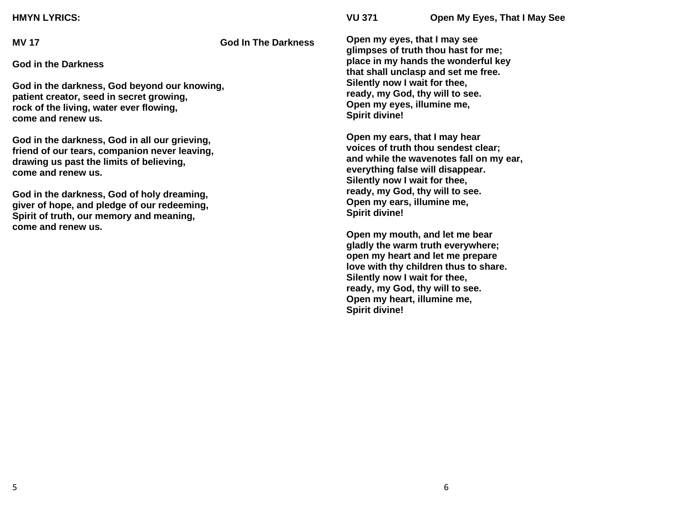#### **HMYN LYRICS:**

**MV 17 God In The Darkness**

**God in the Darkness**

**God in the darkness, God beyond our knowing, patient creator, seed in secret growing, rock of the living, water ever flowing, come and renew us.**

**God in the darkness, God in all our grieving, friend of our tears, companion never leaving, drawing us past the limits of believing, come and renew us.**

**God in the darkness, God of holy dreaming, giver of hope, and pledge of our redeeming, Spirit of truth, our memory and meaning, come and renew us.**

**Open my eyes, that I may see glimpses of truth thou hast for me; place in my hands the wonderful key that shall unclasp and set me free. Silently now I wait for thee, ready, my God, thy will to see. Open my eyes, illumine me, Spirit divine!**

**Open my ears, that I may hear voices of truth thou sendest clear; and while the wavenotes fall on my ear, everything false will disappear. Silently now I wait for thee, ready, my God, thy will to see. Open my ears, illumine me, Spirit divine!**

**Open my mouth, and let me bear gladly the warm truth everywhere; open my heart and let me prepare love with thy children thus to share. Silently now I wait for thee, ready, my God, thy will to see. Open my heart, illumine me, Spirit divine!**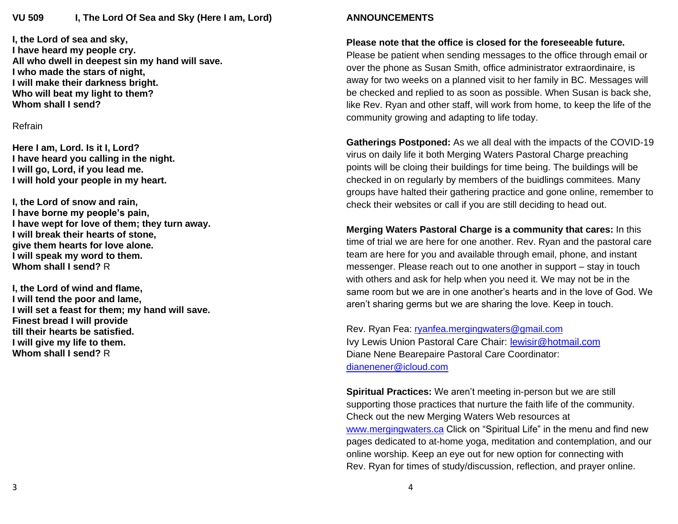**I, the Lord of sea and sky, I have heard my people cry. All who dwell in deepest sin my hand will save. I who made the stars of night, I will make their darkness bright. Who will beat my light to them? Whom shall I send?**

#### Refrain

**Here I am, Lord. Is it I, Lord? I have heard you calling in the night. I will go, Lord, if you lead me. I will hold your people in my heart.**

**I, the Lord of snow and rain, I have borne my people's pain, I have wept for love of them; they turn away. I will break their hearts of stone, give them hearts for love alone. I will speak my word to them. Whom shall I send?** R

**I, the Lord of wind and flame, I will tend the poor and lame, I will set a feast for them; my hand will save. Finest bread I will provide till their hearts be satisfied. I will give my life to them. Whom shall I send?** R

#### **ANNOUNCEMENTS**

#### **Please note that the office is closed for the foreseeable future.**

Please be patient when sending messages to the office through email or over the phone as Susan Smith, office administrator extraordinaire, is away for two weeks on a planned visit to her family in BC. Messages will be checked and replied to as soon as possible. When Susan is back she, like Rev. Ryan and other staff, will work from home, to keep the life of the community growing and adapting to life today.

**Gatherings Postponed:** As we all deal with the impacts of the COVID-19 virus on daily life it both Merging Waters Pastoral Charge preaching points will be cloing their buildings for time being. The buildings will be checked in on regularly by members of the buidlings commitees. Many groups have halted their gathering practice and gone online, remember to check their websites or call if you are still deciding to head out.

**Merging Waters Pastoral Charge is a community that cares:** In this time of trial we are here for one another. Rev. Ryan and the pastoral care team are here for you and available through email, phone, and instant messenger. Please reach out to one another in support – stay in touch with others and ask for help when you need it. We may not be in the same room but we are in one another's hearts and in the love of God. We aren't sharing germs but we are sharing the love. Keep in touch.

Rev. Ryan Fea: [ryanfea.mergingwaters@gmail.com](mailto:ryanfea.mergingwaters@gmail.com) Ivy Lewis Union Pastoral Care Chair: [lewisir@hotmail.com](mailto:lewisir@hotmail.com) Diane Nene Bearepaire Pastoral Care Coordinator: [dianenener@icloud.com](mailto:dianenener@icloud.com)

**Spiritual Practices:** We aren't meeting in-person but we are still supporting those practices that nurture the faith life of the community. Check out the new Merging Waters Web resources at [www.mergingwaters.ca](http://www.mergingwaters.ca/) Click on "Spiritual Life" in the menu and find new pages dedicated to at-home yoga, meditation and contemplation, and our online worship. Keep an eye out for new option for connecting with Rev. Ryan for times of study/discussion, reflection, and prayer online.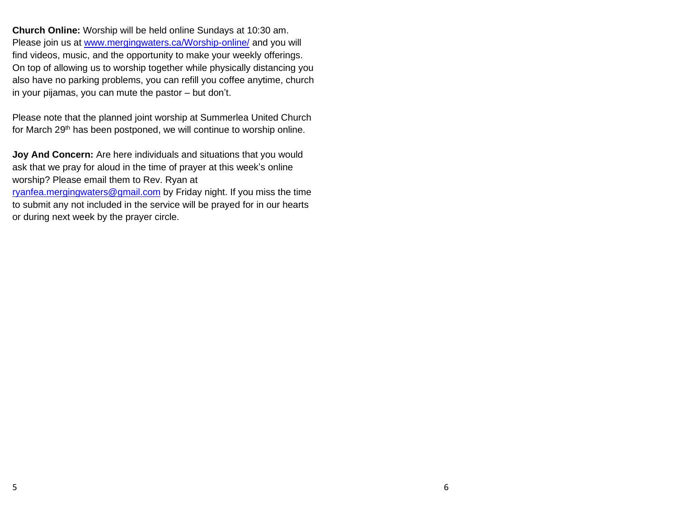**Church Online:** Worship will be held online Sundays at 10:30 am. Please join us at [www.mergingwaters.ca/Worship-online/](http://www.mergingwaters.ca/Worship-online/) and you will find videos, music, and the opportunity to make your weekly offerings. On top of allowing us to worship together while physically distancing you also have no parking problems, you can refill you coffee anytime, church in your pijamas, you can mute the pastor – but don't.

Please note that the planned joint worship at Summerlea United Church for March 29<sup>th</sup> has been postponed, we will continue to worship online.

**Joy And Concern:** Are here individuals and situations that you would ask that we pray for aloud in the time of prayer at this week's online worship? Please email them to Rev. Ryan at

[ryanfea.mergingwaters@gmail.com](mailto:ryanfea.mergingwaters@gmail.com) by Friday night. If you miss the time to submit any not included in the service will be prayed for in our hearts or during next week by the prayer circle.